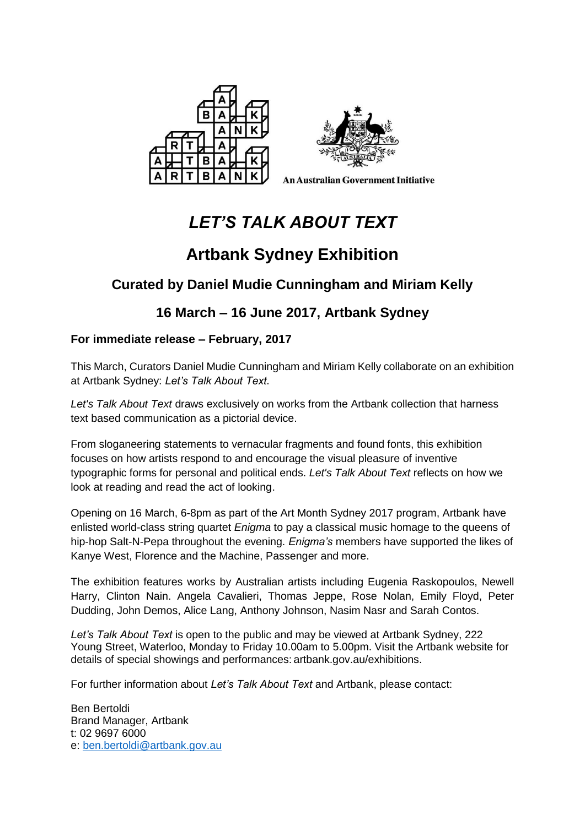



**An Australian Government Initiative** 

# *LET'S TALK ABOUT TEXT*

# **Artbank Sydney Exhibition**

## **Curated by Daniel Mudie Cunningham and Miriam Kelly**

## **16 March – 16 June 2017, Artbank Sydney**

## **For immediate release – February, 2017**

This March, Curators Daniel Mudie Cunningham and Miriam Kelly collaborate on an exhibition at Artbank Sydney: *Let's Talk About Text*.

*Let's Talk About Text* draws exclusively on works from the Artbank collection that harness text based communication as a pictorial device.

From sloganeering statements to vernacular fragments and found fonts, this exhibition focuses on how artists respond to and encourage the visual pleasure of inventive typographic forms for personal and political ends. *Let's Talk About Text* reflects on how we look at reading and read the act of looking.

Opening on 16 March, 6-8pm as part of the Art Month Sydney 2017 program, Artbank have enlisted world-class string quartet *Enigma* to pay a classical music homage to the queens of hip-hop Salt-N-Pepa throughout the evening. *Enigma's* members have supported the likes of Kanye West, Florence and the Machine, Passenger and more.

The exhibition features works by Australian artists including Eugenia Raskopoulos, Newell Harry, Clinton Nain. Angela Cavalieri, Thomas Jeppe, Rose Nolan, Emily Floyd, Peter Dudding, John Demos, Alice Lang, Anthony Johnson, Nasim Nasr and Sarah Contos.

*Let's Talk About Text* is open to the public and may be viewed at Artbank Sydney, 222 Young Street, Waterloo, Monday to Friday 10.00am to 5.00pm. Visit the Artbank website for details of special showings and performances: artbank.gov.au/exhibitions.

For further information about *Let's Talk About Text* and Artbank, please contact:

Ben Bertoldi Brand Manager, Artbank t: 02 9697 6000 e: [ben.bertoldi@artbank.gov.au](mailto:ben.bertoldi@artbank.gov.au)